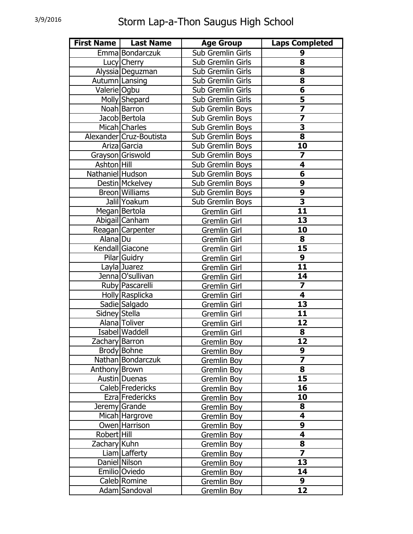|                  | First Name   Last Name  | <b>Age Group</b>    | <b>Laps Completed</b>   |
|------------------|-------------------------|---------------------|-------------------------|
|                  | Emma Bondarczuk         | Sub Gremlin Girls   | 9                       |
|                  | Lucy Cherry             | Sub Gremlin Girls   | 8                       |
|                  | Alyssia Deguzman        | Sub Gremlin Girls   | $\overline{\mathbf{8}}$ |
| Autumn Lansing   |                         | Sub Gremlin Girls   | 8                       |
| Valerie Ogbu     |                         | Sub Gremlin Girls   | 6                       |
|                  | Molly Shepard           | Sub Gremlin Girls   | $\overline{\mathbf{5}}$ |
|                  | Noah Barron             | Sub Gremlin Boys    |                         |
|                  | Jacob Bertola           | Sub Gremlin Boys    |                         |
|                  | Micah Charles           | Sub Gremlin Boys    | 3                       |
|                  | Alexander Cruz-Boutista | Sub Gremlin Boys    | 8                       |
|                  | Ariza Garcia            | Sub Gremlin Boys    | 10                      |
|                  | Grayson Griswold        | Sub Gremlin Boys    | $\overline{\mathbf{z}}$ |
| Ashton Hill      |                         | Sub Gremlin Boys    | 4                       |
| Nathaniel Hudson |                         | Sub Gremlin Boys    | 6                       |
|                  | Destin Mckelvey         | Sub Gremlin Boys    | 9                       |
|                  | Breon Williams          | Sub Gremlin Boys    | $\overline{9}$          |
|                  | Jalil Yoakum            | Sub Gremlin Boys    | $\overline{\mathbf{3}}$ |
|                  | Megan Bertola           | Gremlin Girl        | 11                      |
|                  | Abigail Canham          | Gremlin Girl        | 13                      |
|                  | Reagan Carpenter        | Gremlin Girl        | 10                      |
| Alana Du         |                         | Gremlin Girl        | 8                       |
|                  | Kendall Giacone         | Gremlin Girl        | 15                      |
|                  | Pilar Guidry            | Gremlin Girl        | 9                       |
|                  | Layla Juarez            | Gremlin Girl        | 11                      |
|                  | Jenna O'sullivan        | Gremlin Girl        | 14                      |
|                  | Ruby Pascarelli         | Gremlin Girl        | $\overline{\mathbf{z}}$ |
|                  | Holly Rasplicka         | Gremlin Girl        | 4                       |
|                  | Sadie Salgado           | Gremlin Girl        | $\overline{13}$         |
| Sidney Stella    |                         | <b>Gremlin Girl</b> | 11                      |
|                  | Alana Toliver           | Gremlin Girl        | 12                      |
|                  | Isabel Waddell          | Gremlin Girl        | 8                       |
| Zachary Barron   |                         | <b>Gremlin Boy</b>  | $\overline{12}$         |
|                  | Brody Bohne             | Gremlin Boy         | 9                       |
|                  | Nathan Bondarczuk       | Gremlin Boy         | $\overline{\mathbf{z}}$ |
| Anthony Brown    |                         | Gremlin Boy         | 8                       |
|                  | <b>Austin</b> Duenas    | Gremlin Boy         | $\overline{15}$         |
|                  | Caleb Fredericks        | Gremlin Boy         | 16                      |
|                  | Ezra Fredericks         | Gremlin Boy         | 10                      |
|                  | Jeremy Grande           | Gremlin Boy         | 8                       |
|                  | Micah Hargrove          | Gremlin Boy         | 4                       |
|                  | Owen Harrison           | Gremlin Boy         | 9                       |
| Robert Hill      |                         | Gremlin Boy         | 4                       |
| Zachary Kuhn     |                         | Gremlin Boy         | 8                       |
|                  | Liam Lafferty           | Gremlin Boy         | $\overline{\mathbf{z}}$ |
|                  | Daniel Nilson           | Gremlin Boy         | 13                      |
|                  | Emilio Oviedo           | Gremlin Boy         | 14                      |
|                  | Caleb Romine            | Gremlin Boy         | 9                       |
|                  | Adam Sandoval           | Gremlin Boy         | 12                      |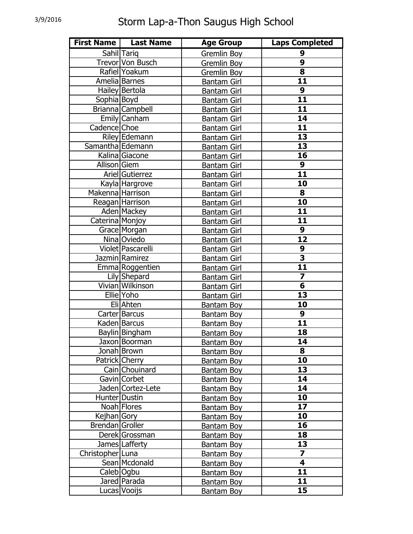|                  | First Name   Last Name | <b>Age Group</b>   | <b>Laps Completed</b>   |
|------------------|------------------------|--------------------|-------------------------|
|                  | Sahil Tariq            | <b>Gremlin Boy</b> | 9                       |
|                  | Trevor Von Busch       | Gremlin Boy        | $\overline{9}$          |
|                  | Rafiel Yoakum          | Gremlin Boy        | 8                       |
|                  | Amelia Barnes          | <b>Bantam Girl</b> | 11                      |
|                  | Hailey Bertola         | <b>Bantam Girl</b> | 9                       |
| Sophia Boyd      |                        | <b>Bantam Girl</b> | 11                      |
|                  | Brianna Campbell       | <b>Bantam Girl</b> | 11                      |
|                  | Emily Canham           | <b>Bantam Girl</b> | 14                      |
| Cadence Choe     |                        | <b>Bantam Girl</b> | 11                      |
|                  | Riley Edemann          | <b>Bantam Girl</b> | 13                      |
| Samantha Edemann |                        | <b>Bantam Girl</b> | $\overline{13}$         |
|                  | Kalina Giacone         | <b>Bantam Girl</b> | 16                      |
| Allison Giem     |                        | <b>Bantam Girl</b> | 9                       |
|                  | Ariel Gutierrez        | <b>Bantam Girl</b> | 11                      |
|                  | Kayla Hargrove         | <b>Bantam Girl</b> | 10                      |
| Makenna Harrison |                        | <b>Bantam Girl</b> | 8                       |
|                  | Reagan Harrison        | <b>Bantam Girl</b> | 10                      |
|                  | Aden Mackey            | <b>Bantam Girl</b> | 11                      |
| Caterina Monjoy  |                        | <b>Bantam Girl</b> | 11                      |
|                  | Grace Morgan           | <b>Bantam Girl</b> | 9                       |
|                  | Nina Oviedo            | <b>Bantam Girl</b> | $\overline{12}$         |
|                  | Violet   Pascarelli    | <b>Bantam Girl</b> | $\overline{9}$          |
|                  | Jazmin Ramirez         | <b>Bantam Girl</b> | $\overline{\mathbf{3}}$ |
|                  | Emma Roggentien        | <b>Bantam Girl</b> | 11                      |
|                  | Lily Shepard           | <b>Bantam Girl</b> | 7                       |
|                  | Vivian Wilkinson       | <b>Bantam Girl</b> | 6                       |
|                  | Ellie Yoho             | <b>Bantam Girl</b> | $\overline{13}$         |
|                  | Eli Ahten              | Bantam Boy         | 10                      |
|                  | Carter Barcus          | Bantam Boy         | 9                       |
|                  | Kaden Barcus           | Bantam Boy         | 11                      |
|                  | Baylin Bingham         | Bantam Boy         | 18                      |
|                  | Jaxon Boorman          | <u>Bantam Boy</u>  | $\overline{14}$         |
|                  | Jonah Brown            | Bantam Boy         | 8                       |
|                  | Patrick Cherry         | Bantam Boy         | 10                      |
|                  | Cain Chouinard         | Bantam Boy         | 13                      |
|                  | Gavin Corbet           | Bantam Boy         | 14                      |
|                  | Jaden Cortez-Lete      | Bantam Boy         | 14                      |
| Hunter Dustin    |                        | Bantam Boy         | 10                      |
|                  | Noah Flores            | Bantam Boy         | 17                      |
| Kejhan Gory      |                        | Bantam Boy         | 10                      |
| Brendan Groller  |                        | Bantam Boy         | 16                      |
|                  | Derek Grossman         | Bantam Boy         | 18                      |
|                  | James Lafferty         | Bantam Boy         | 13                      |
| Christopher Luna |                        | Bantam Boy         | $\overline{\mathbf{7}}$ |
|                  | Sean Mcdonald          | Bantam Boy         | $\overline{\mathbf{4}}$ |
| Caleb Ogbu       |                        | Bantam Boy         | 11                      |
|                  | Jared Parada           | <b>Bantam Boy</b>  | 11                      |
|                  | Lucas Vooijs           | <b>Bantam Boy</b>  | 15                      |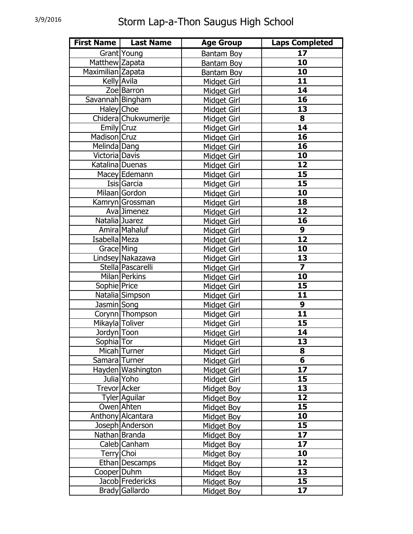| <b>First Name</b> | <b>Last Name</b>     | <b>Age Group</b>   | <b>Laps Completed</b>   |
|-------------------|----------------------|--------------------|-------------------------|
|                   | Grant Young          | <b>Bantam Boy</b>  | 17                      |
| Matthew Zapata    |                      | Bantam Boy         | $\overline{10}$         |
| Maximilian Zapata |                      | Bantam Boy         | 10                      |
|                   | Kelly Avila          | Midget Girl        | 11                      |
|                   | Zoe Barron           | Midget Girl        | 14                      |
| Savannah Bingham  |                      | <b>Midget Girl</b> | 16                      |
| Haley Choe        |                      | <b>Midget Girl</b> | 13                      |
|                   | Chidera Chukwumerije | Midget Girl        | 8                       |
| Emily Cruz        |                      | Midget Girl        | $\overline{14}$         |
| Madison Cruz      |                      | Midget Girl        | 16                      |
| Melinda Dang      |                      | <b>Midget Girl</b> | 16                      |
| Victoria Davis    |                      | Midget Girl        | 10                      |
| Katalina   Duenas |                      | Midget Girl        | 12                      |
|                   | Macey Edemann        | <b>Midget Girl</b> | 15                      |
|                   | Isis Garcia          | Midget Girl        | 15                      |
|                   | Milaan Gordon        | <b>Midget Girl</b> | 10                      |
|                   | Kamryn Grossman      | <b>Midget Girl</b> | 18                      |
|                   | Ava Jimenez          | Midget Girl        | 12                      |
| Natalia Juarez    |                      | Midget Girl        | 16                      |
|                   | Amira Mahaluf        | Midget Girl        | 9                       |
| Isabella Meza     |                      | <b>Midget Girl</b> | $\overline{12}$         |
| Grace Ming        |                      | Midget Girl        | 10                      |
|                   | Lindsey Nakazawa     | Midget Girl        | 13                      |
|                   | Stella Pascarelli    | <b>Midget Girl</b> | $\overline{\mathbf{z}}$ |
|                   | Milan Perkins        | Midget Girl        | 10                      |
| Sophie Price      |                      | <b>Midget Girl</b> | 15                      |
|                   | Natalia Simpson      | <b>Midget Girl</b> | 11                      |
| Jasmin Song       |                      | Midget Girl        | 9                       |
|                   | Corynn Thompson      | Midget Girl        | $\overline{11}$         |
| Mikayla Toliver   |                      | Midget Girl        | 15                      |
| Jordyn Toon       |                      | <b>Midget Girl</b> | 14                      |
| Sophia Tor        |                      | <u>Midget Girl</u> | $\overline{13}$         |
|                   | Micah Turner         | Midget Girl        | 8                       |
| Samara Turner     |                      | Midget Girl        | 6                       |
|                   | Hayden Washington    | Midget Girl        | 17                      |
|                   | Julia Yoho           | Midget Girl        | 15                      |
| Trevor Acker      |                      | Midget Boy         | 13                      |
|                   | Tyler Aguilar        | Midget Boy         | 12                      |
|                   | Owen Ahten           | Midget Boy         | 15                      |
|                   | Anthony Alcantara    | Midget Boy         | 10                      |
|                   | Joseph Anderson      | Midget Boy         | 15                      |
|                   | Nathan Branda        | Midget Boy         | 17                      |
|                   | Caleb Canham         | Midget Boy         | 17                      |
| Terry Choi        |                      | Midget Boy         | 10                      |
|                   | Ethan   Descamps     | Midget Boy         | 12                      |
| Cooper Duhm       |                      | Midget Boy         | 13                      |
|                   | Jacob Fredericks     | Midget Boy         | 15                      |
|                   | Brady Gallardo       | Midget Boy         | 17                      |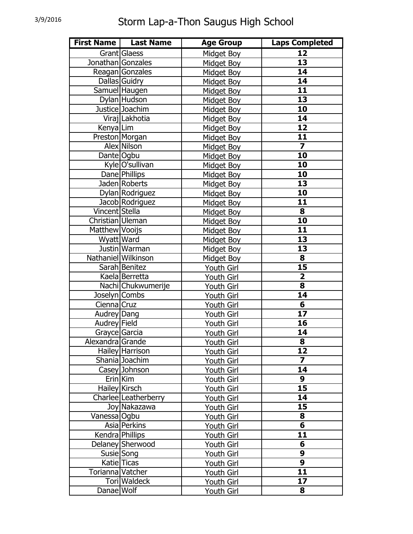| <b>First Name</b> | <b>Last Name</b>     | <b>Age Group</b>  | <b>Laps Completed</b>   |
|-------------------|----------------------|-------------------|-------------------------|
|                   | Grant Glaess         | Midget Boy        | 12                      |
| Jonathan Gonzales |                      | Midget Boy        | $\overline{13}$         |
|                   | Reagan Gonzales      | Midget Boy        | 14                      |
|                   | Dallas Guidry        | Midget Boy        | 14                      |
|                   | Samuel Haugen        | Midget Boy        | 11                      |
|                   | Dylan Hudson         | Midget Boy        | 13                      |
|                   | Justice Joachim      | Midget Boy        | 10                      |
|                   | Viraj Lakhotia       | Midget Boy        | 14                      |
| Kenya Lim         |                      | Midget Boy        | 12                      |
|                   | Preston Morgan       | Midget Boy        | 11                      |
|                   | Alex Nilson          | Midget Boy        | $\overline{\mathbf{7}}$ |
| Dante Ogbu        |                      | Midget Boy        | 10                      |
|                   | Kyle O'sullivan      | Midget Boy        | 10                      |
|                   | Dane Phillips        | Midget Boy        | 10                      |
|                   | Jaden Roberts        | Midget Boy        | 13                      |
|                   | Dylan Rodriguez      | Midget Boy        | 10                      |
|                   | Jacob Rodriguez      | Midget Boy        | 11                      |
| Vincent Stella    |                      | Midget Boy        | 8                       |
| Christian Uleman  |                      | Midget Boy        | 10                      |
| Matthew Vooijs    |                      | Midget Boy        | 11                      |
| Wyatt Ward        |                      | Midget Boy        | 13                      |
|                   | Justin Warman        | Midget Boy        | $\overline{13}$         |
|                   | Nathaniel Wilkinson  | Midget Boy        | 8                       |
|                   | Sarah Benitez        | Youth Girl        | 15                      |
|                   | Kaela Berretta       | Youth Girl        | $\overline{\mathbf{2}}$ |
|                   | Nachi Chukwumerije   | Youth Girl        | 8                       |
| Joselyn Combs     |                      | <b>Youth Girl</b> | 14                      |
| Cienna Cruz       |                      | Youth Girl        | 6                       |
| Audrey Dang       |                      | Youth Girl        | $\overline{17}$         |
| Audrey Field      |                      | Youth Girl        | 16                      |
| Grayce Garcia     |                      | Youth Girl        | 14                      |
| Alexandra Grande  |                      | <u>Youth Girl</u> | $\overline{\mathbf{8}}$ |
|                   | Hailey Harrison      | Youth Girl        | 12                      |
|                   | Shania Joachim       | Youth Girl        | $\overline{7}$          |
|                   | Casey Johnson        | Youth Girl        | 14                      |
|                   | Erin Kim             | Youth Girl        | 9                       |
|                   | Hailey Kirsch        | <b>Youth Girl</b> | 15                      |
|                   | Charlee Leatherberry | Youth Girl        | 14                      |
|                   | Joy Nakazawa         | Youth Girl        | 15                      |
| Vanessa Ogbu      |                      | Youth Girl        | 8                       |
|                   | Asia Perkins         | Youth Girl        | 6                       |
|                   | Kendra Phillips      | Youth Girl        | 11                      |
|                   | Delaney Sherwood     | Youth Girl        | 6                       |
|                   | Susie Song           | <u>Youth Girl</u> | 9                       |
|                   | Katie Ticas          | Youth Girl        | $\overline{9}$          |
| Torianna Vatcher  |                      | Youth Girl        | 11                      |
|                   | Tori Waldeck         | Youth Girl        | 17                      |
| Danae Wolf        |                      | Youth Girl        | 8                       |